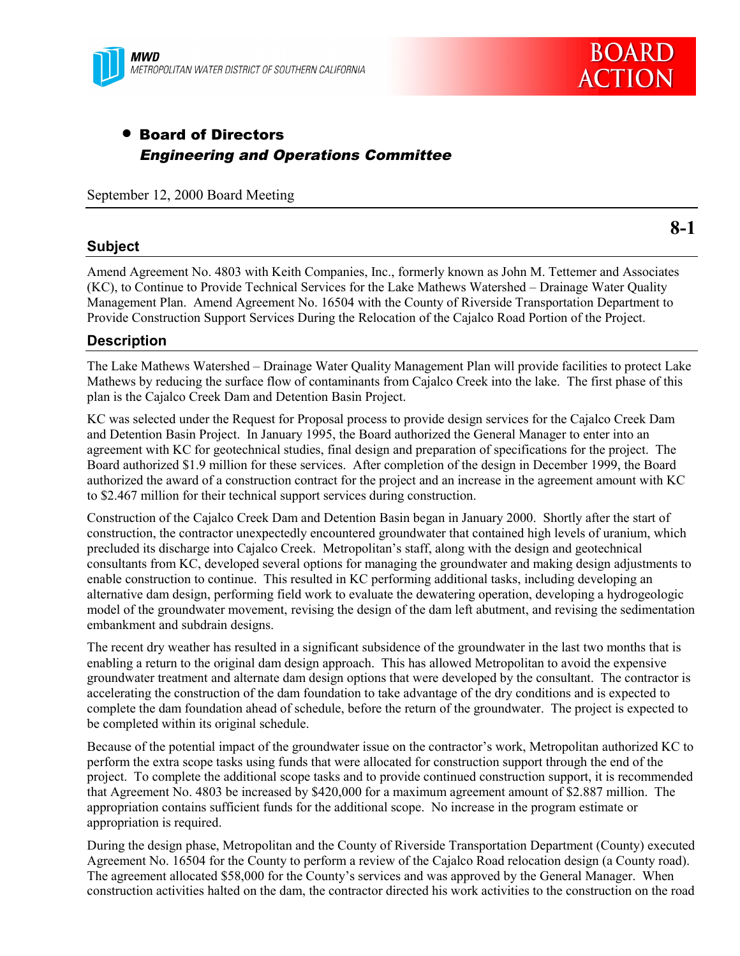

# • Board of Directors Engineering and Operations Committee

September 12, 2000 Board Meeting

### **Subject**

**8-1**

Amend Agreement No. 4803 with Keith Companies, Inc., formerly known as John M. Tettemer and Associates (KC), to Continue to Provide Technical Services for the Lake Mathews Watershed – Drainage Water Quality Management Plan. Amend Agreement No. 16504 with the County of Riverside Transportation Department to Provide Construction Support Services During the Relocation of the Cajalco Road Portion of the Project.

### **Description**

The Lake Mathews Watershed – Drainage Water Quality Management Plan will provide facilities to protect Lake Mathews by reducing the surface flow of contaminants from Cajalco Creek into the lake. The first phase of this plan is the Cajalco Creek Dam and Detention Basin Project.

KC was selected under the Request for Proposal process to provide design services for the Cajalco Creek Dam and Detention Basin Project. In January 1995, the Board authorized the General Manager to enter into an agreement with KC for geotechnical studies, final design and preparation of specifications for the project. The Board authorized \$1.9 million for these services. After completion of the design in December 1999, the Board authorized the award of a construction contract for the project and an increase in the agreement amount with KC to \$2.467 million for their technical support services during construction.

Construction of the Cajalco Creek Dam and Detention Basin began in January 2000. Shortly after the start of construction, the contractor unexpectedly encountered groundwater that contained high levels of uranium, which precluded its discharge into Cajalco Creek. Metropolitan's staff, along with the design and geotechnical consultants from KC, developed several options for managing the groundwater and making design adjustments to enable construction to continue. This resulted in KC performing additional tasks, including developing an alternative dam design, performing field work to evaluate the dewatering operation, developing a hydrogeologic model of the groundwater movement, revising the design of the dam left abutment, and revising the sedimentation embankment and subdrain designs.

The recent dry weather has resulted in a significant subsidence of the groundwater in the last two months that is enabling a return to the original dam design approach. This has allowed Metropolitan to avoid the expensive groundwater treatment and alternate dam design options that were developed by the consultant. The contractor is accelerating the construction of the dam foundation to take advantage of the dry conditions and is expected to complete the dam foundation ahead of schedule, before the return of the groundwater. The project is expected to be completed within its original schedule.

Because of the potential impact of the groundwater issue on the contractor's work, Metropolitan authorized KC to perform the extra scope tasks using funds that were allocated for construction support through the end of the project. To complete the additional scope tasks and to provide continued construction support, it is recommended that Agreement No. 4803 be increased by \$420,000 for a maximum agreement amount of \$2.887 million. The appropriation contains sufficient funds for the additional scope. No increase in the program estimate or appropriation is required.

During the design phase, Metropolitan and the County of Riverside Transportation Department (County) executed Agreement No. 16504 for the County to perform a review of the Cajalco Road relocation design (a County road). The agreement allocated \$58,000 for the County's services and was approved by the General Manager. When construction activities halted on the dam, the contractor directed his work activities to the construction on the road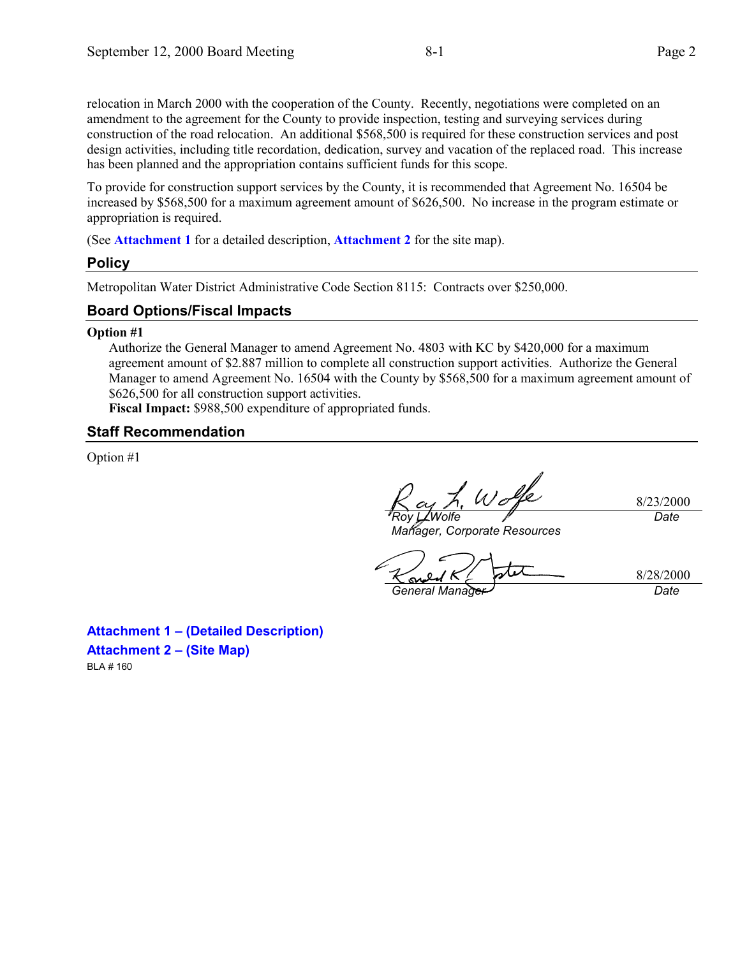relocation in March 2000 with the cooperation of the County. Recently, negotiations were completed on an amendment to the agreement for the County to provide inspection, testing and surveying services during construction of the road relocation. An additional \$568,500 is required for these construction services and post design activities, including title recordation, dedication, survey and vacation of the replaced road. This increase has been planned and the appropriation contains sufficient funds for this scope.

To provide for construction support services by the County, it is recommended that Agreement No. 16504 be increased by \$568,500 for a maximum agreement amount of \$626,500. No increase in the program estimate or appropriation is required.

(See **Attachment 1** for a detailed description, **Attachment 2** for the site map).

### **Policy**

Metropolitan Water District Administrative Code Section 8115: Contracts over \$250,000.

### **Board Options/Fiscal Impacts**

#### **Option #1**

Authorize the General Manager to amend Agreement No. 4803 with KC by \$420,000 for a maximum agreement amount of \$2.887 million to complete all construction support activities. Authorize the General Manager to amend Agreement No. 16504 with the County by \$568,500 for a maximum agreement amount of \$626,500 for all construction support activities.

**Fiscal Impact:** \$988,500 expenditure of appropriated funds.

### **Staff Recommendation**

Option #1

h. Wolfe *Roy L. Wolfe*

8/23/2000 *Date*

*Manager, Corporate Resources*

*General Manager Date*

8/28/2000

**Attachment 1 – (Detailed Description) Attachment 2 – (Site Map)** BLA # 160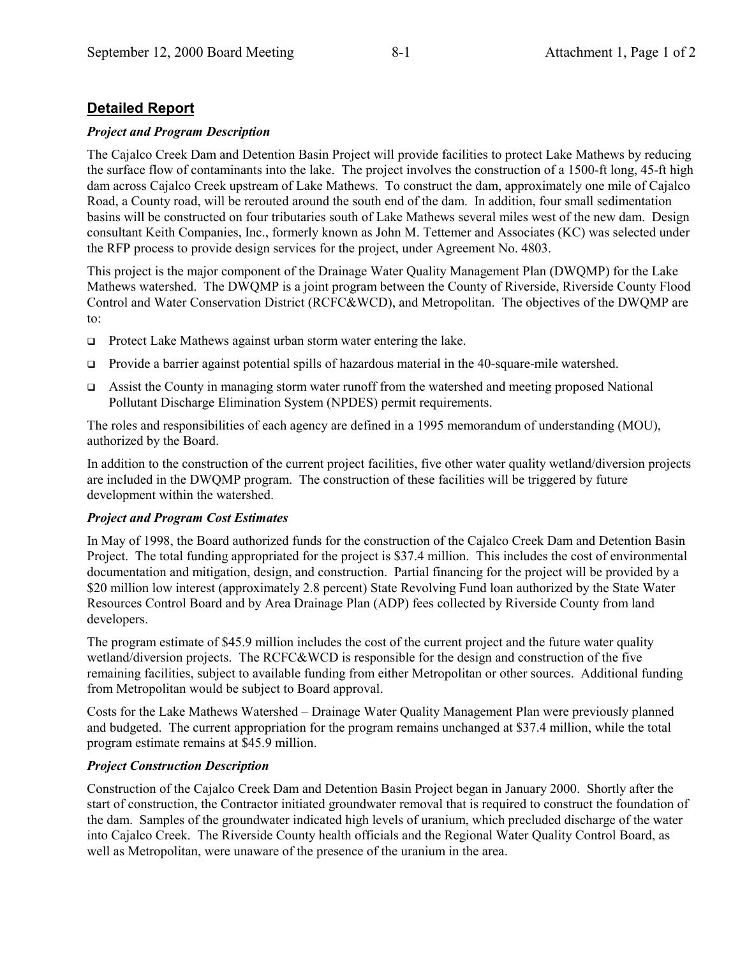## **Detailed Report**

### *Project and Program Description*

The Cajalco Creek Dam and Detention Basin Project will provide facilities to protect Lake Mathews by reducing the surface flow of contaminants into the lake. The project involves the construction of a 1500-ft long, 45-ft high dam across Cajalco Creek upstream of Lake Mathews. To construct the dam, approximately one mile of Cajalco Road, a County road, will be rerouted around the south end of the dam. In addition, four small sedimentation basins will be constructed on four tributaries south of Lake Mathews several miles west of the new dam. Design consultant Keith Companies, Inc., formerly known as John M. Tettemer and Associates (KC) was selected under the RFP process to provide design services for the project, under Agreement No. 4803.

This project is the major component of the Drainage Water Quality Management Plan (DWQMP) for the Lake Mathews watershed. The DWQMP is a joint program between the County of Riverside, Riverside County Flood Control and Water Conservation District (RCFC&WCD), and Metropolitan. The objectives of the DWQMP are to:

- $\Box$  Protect Lake Mathews against urban storm water entering the lake.
- ! Provide a barrier against potential spills of hazardous material in the 40-square-mile watershed.
- **Example 3** Assist the County in managing storm water runoff from the watershed and meeting proposed National Pollutant Discharge Elimination System (NPDES) permit requirements.

The roles and responsibilities of each agency are defined in a 1995 memorandum of understanding (MOU), authorized by the Board.

In addition to the construction of the current project facilities, five other water quality wetland/diversion projects are included in the DWQMP program. The construction of these facilities will be triggered by future development within the watershed.

### *Project and Program Cost Estimates*

In May of 1998, the Board authorized funds for the construction of the Cajalco Creek Dam and Detention Basin Project. The total funding appropriated for the project is \$37.4 million. This includes the cost of environmental documentation and mitigation, design, and construction. Partial financing for the project will be provided by a \$20 million low interest (approximately 2.8 percent) State Revolving Fund loan authorized by the State Water Resources Control Board and by Area Drainage Plan (ADP) fees collected by Riverside County from land developers.

The program estimate of \$45.9 million includes the cost of the current project and the future water quality wetland/diversion projects. The RCFC&WCD is responsible for the design and construction of the five remaining facilities, subject to available funding from either Metropolitan or other sources. Additional funding from Metropolitan would be subject to Board approval.

Costs for the Lake Mathews Watershed – Drainage Water Quality Management Plan were previously planned and budgeted. The current appropriation for the program remains unchanged at \$37.4 million, while the total program estimate remains at \$45.9 million.

### *Project Construction Description*

Construction of the Cajalco Creek Dam and Detention Basin Project began in January 2000. Shortly after the start of construction, the Contractor initiated groundwater removal that is required to construct the foundation of the dam. Samples of the groundwater indicated high levels of uranium, which precluded discharge of the water into Cajalco Creek. The Riverside County health officials and the Regional Water Quality Control Board, as well as Metropolitan, were unaware of the presence of the uranium in the area.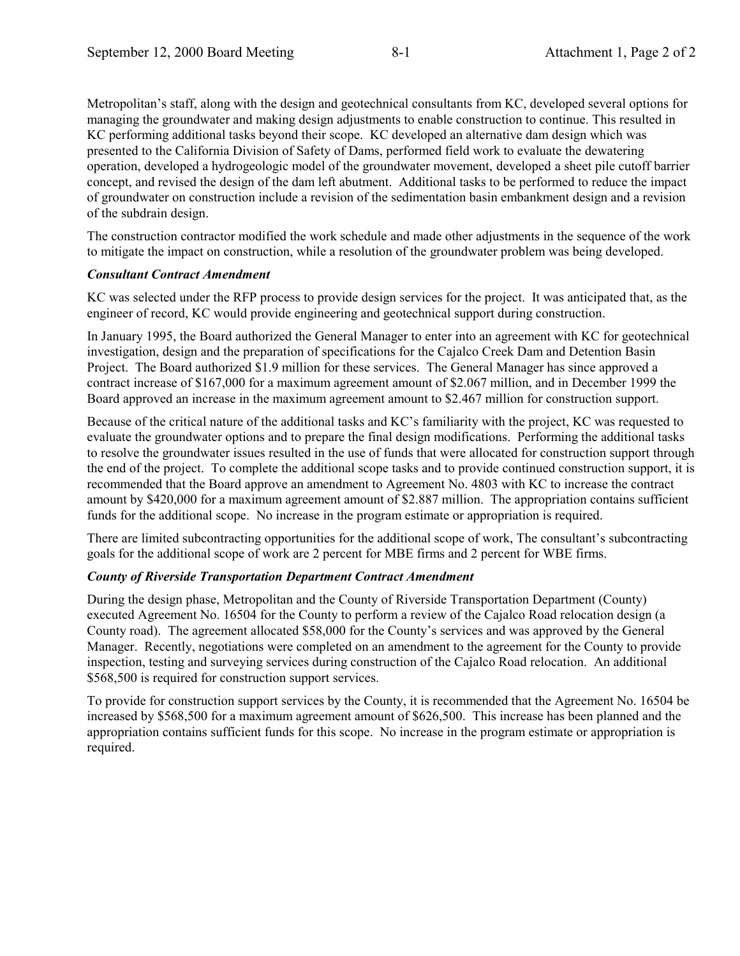Metropolitan's staff, along with the design and geotechnical consultants from KC, developed several options for managing the groundwater and making design adjustments to enable construction to continue. This resulted in KC performing additional tasks beyond their scope. KC developed an alternative dam design which was presented to the California Division of Safety of Dams, performed field work to evaluate the dewatering operation, developed a hydrogeologic model of the groundwater movement, developed a sheet pile cutoff barrier concept, and revised the design of the dam left abutment. Additional tasks to be performed to reduce the impact of groundwater on construction include a revision of the sedimentation basin embankment design and a revision of the subdrain design.

The construction contractor modified the work schedule and made other adjustments in the sequence of the work to mitigate the impact on construction, while a resolution of the groundwater problem was being developed.

### *Consultant Contract Amendment*

KC was selected under the RFP process to provide design services for the project. It was anticipated that, as the engineer of record, KC would provide engineering and geotechnical support during construction.

In January 1995, the Board authorized the General Manager to enter into an agreement with KC for geotechnical investigation, design and the preparation of specifications for the Cajalco Creek Dam and Detention Basin Project. The Board authorized \$1.9 million for these services. The General Manager has since approved a contract increase of \$167,000 for a maximum agreement amount of \$2.067 million, and in December 1999 the Board approved an increase in the maximum agreement amount to \$2.467 million for construction support.

Because of the critical nature of the additional tasks and KC's familiarity with the project, KC was requested to evaluate the groundwater options and to prepare the final design modifications. Performing the additional tasks to resolve the groundwater issues resulted in the use of funds that were allocated for construction support through the end of the project. To complete the additional scope tasks and to provide continued construction support, it is recommended that the Board approve an amendment to Agreement No. 4803 with KC to increase the contract amount by \$420,000 for a maximum agreement amount of \$2.887 million. The appropriation contains sufficient funds for the additional scope. No increase in the program estimate or appropriation is required.

There are limited subcontracting opportunities for the additional scope of work, The consultant's subcontracting goals for the additional scope of work are 2 percent for MBE firms and 2 percent for WBE firms.

### *County of Riverside Transportation Department Contract Amendment*

During the design phase, Metropolitan and the County of Riverside Transportation Department (County) executed Agreement No. 16504 for the County to perform a review of the Cajalco Road relocation design (a County road). The agreement allocated \$58,000 for the County's services and was approved by the General Manager. Recently, negotiations were completed on an amendment to the agreement for the County to provide inspection, testing and surveying services during construction of the Cajalco Road relocation. An additional \$568,500 is required for construction support services.

To provide for construction support services by the County, it is recommended that the Agreement No. 16504 be increased by \$568,500 for a maximum agreement amount of \$626,500. This increase has been planned and the appropriation contains sufficient funds for this scope. No increase in the program estimate or appropriation is required.